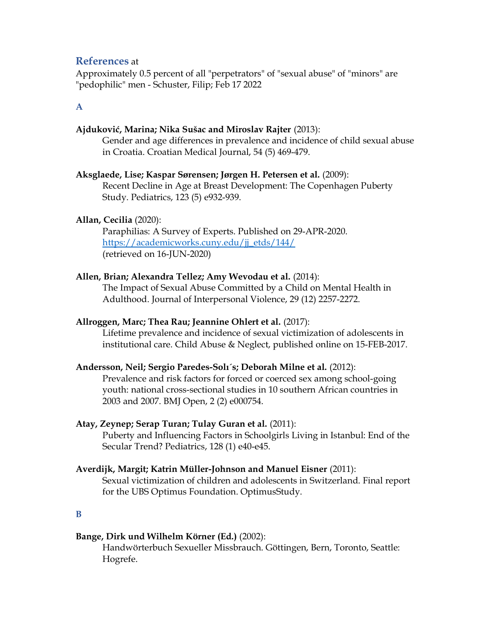# References at

Approximately 0.5 percent of all "perpetrators" of "sexual abuse" of "minors" are "pedophilic" men - Schuster, Filip; Feb 17 2022

# A

# Ajduković, Marina; Nika Sušac and Miroslav Rajter (2013):

Gender and age differences in prevalence and incidence of child sexual abuse in Croatia. Croatian Medical Journal, 54 (5) 469-479.

### Aksglaede, Lise; Kaspar Sørensen; Jørgen H. Petersen et al. (2009):

Recent Decline in Age at Breast Development: The Copenhagen Puberty Study. Pediatrics, 123 (5) e932-939.

### Allan, Cecilia (2020):

Paraphilias: A Survey of Experts. Published on 29-APR-2020. https://academicworks.cuny.edu/jj\_etds/144/ (retrieved on 16-JUN-2020)

### Allen, Brian; Alexandra Tellez; Amy Wevodau et al. (2014):

The Impact of Sexual Abuse Committed by a Child on Mental Health in Adulthood. Journal of Interpersonal Violence, 29 (12) 2257-2272.

#### Allroggen, Marc; Thea Rau; Jeannine Ohlert et al. (2017):

Lifetime prevalence and incidence of sexual victimization of adolescents in institutional care. Child Abuse & Neglect, published online on 15-FEB-2017.

#### Andersson, Neil; Sergio Paredes-Solı´s; Deborah Milne et al. (2012):

Prevalence and risk factors for forced or coerced sex among school-going youth: national cross-sectional studies in 10 southern African countries in 2003 and 2007. BMJ Open, 2 (2) e000754.

#### Atay, Zeynep; Serap Turan; Tulay Guran et al. (2011):

Puberty and Influencing Factors in Schoolgirls Living in Istanbul: End of the Secular Trend? Pediatrics, 128 (1) e40-e45.

#### Averdijk, Margit; Katrin Müller-Johnson and Manuel Eisner (2011):

Sexual victimization of children and adolescents in Switzerland. Final report for the UBS Optimus Foundation. OptimusStudy.

### B<sub>2</sub>

#### Bange, Dirk und Wilhelm Körner (Ed.) (2002):

Handwörterbuch Sexueller Missbrauch. Göttingen, Bern, Toronto, Seattle: Hogrefe.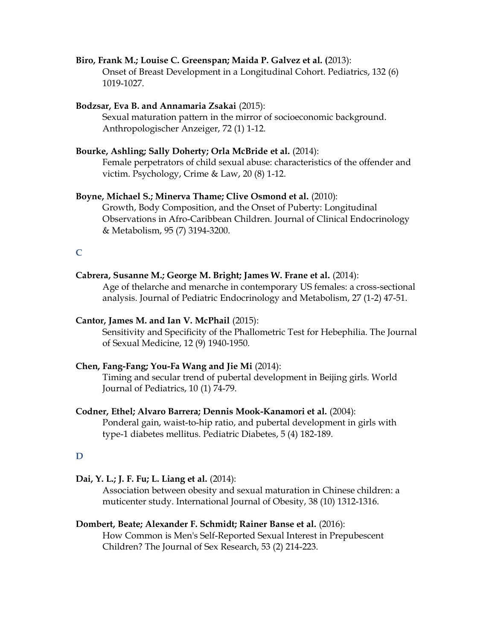#### Biro, Frank M.; Louise C. Greenspan; Maida P. Galvez et al. (2013):

Onset of Breast Development in a Longitudinal Cohort. Pediatrics, 132 (6) 1019-1027.

### Bodzsar, Eva B. and Annamaria Zsakai (2015):

Sexual maturation pattern in the mirror of socioeconomic background. Anthropologischer Anzeiger, 72 (1) 1-12.

### Bourke, Ashling; Sally Doherty; Orla McBride et al. (2014):

Female perpetrators of child sexual abuse: characteristics of the offender and victim. Psychology, Crime & Law, 20 (8) 1-12.

#### Boyne, Michael S.; Minerva Thame; Clive Osmond et al. (2010):

Growth, Body Composition, and the Onset of Puberty: Longitudinal Observations in Afro-Caribbean Children. Journal of Clinical Endocrinology & Metabolism, 95 (7) 3194-3200.

### C<sub>2</sub> and the contract of the contract of the contract of the contract of the contract of the contract of the contract of the contract of the contract of the contract of the contract of the contract of the contract of the c

### Cabrera, Susanne M.; George M. Bright; James W. Frane et al. (2014):

Age of thelarche and menarche in contemporary US females: a cross-sectional analysis. Journal of Pediatric Endocrinology and Metabolism, 27 (1-2) 47-51.

### Cantor, James M. and Ian V. McPhail (2015):

Sensitivity and Specificity of the Phallometric Test for Hebephilia. The Journal of Sexual Medicine, 12 (9) 1940-1950.

### Chen, Fang-Fang; You-Fa Wang and Jie Mi (2014):

Timing and secular trend of pubertal development in Beijing girls. World Journal of Pediatrics, 10 (1) 74-79.

#### Codner, Ethel; Alvaro Barrera; Dennis Mook-Kanamori et al. (2004):

Ponderal gain, waist-to-hip ratio, and pubertal development in girls with type-1 diabetes mellitus. Pediatric Diabetes, 5 (4) 182-189.

### D<sub>2</sub>

### Dai, Y. L.; J. F. Fu; L. Liang et al. (2014):

Association between obesity and sexual maturation in Chinese children: a muticenter study. International Journal of Obesity, 38 (10) 1312-1316.

### Dombert, Beate; Alexander F. Schmidt; Rainer Banse et al. (2016):

How Common is Men's Self-Reported Sexual Interest in Prepubescent Children? The Journal of Sex Research, 53 (2) 214-223.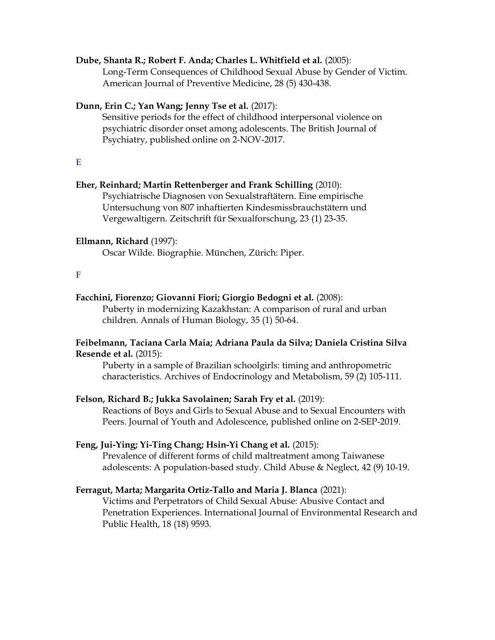### Dube, Shanta R.; Robert F. Anda; Charles L. Whitfield et al. (2005):

Long-Term Consequences of Childhood Sexual Abuse by Gender of Victim. American Journal of Preventive Medicine, 28 (5) 430-438.

### Dunn, Erin C.; Yan Wang; Jenny Tse et al. (2017):

Sensitive periods for the effect of childhood interpersonal violence on psychiatric disorder onset among adolescents. The British Journal of Psychiatry, published online on 2-NOV-2017.

### **E** and the second second second

# Eher, Reinhard; Martin Rettenberger and Frank Schilling (2010): Psychiatrische Diagnosen von Sexualstraftätern. Eine empirische

Untersuchung von 807 inhaftierten Kindesmissbrauchstätern und Vergewaltigern. Zeitschrift für Sexualforschung, 23 (1) 23-35.

### Ellmann, Richard (1997):

Oscar Wilde. Biographie. München, Zürich: Piper.

### F<sub>1</sub>

### Facchini, Fiorenzo; Giovanni Fiori; Giorgio Bedogni et al. (2008):

Puberty in modernizing Kazakhstan: A comparison of rural and urban children. Annals of Human Biology, 35 (1) 50-64.

### Feibelmann, Taciana Carla Maia; Adriana Paula da Silva; Daniela Cristina Silva Resende et al. (2015):

Puberty in a sample of Brazilian schoolgirls: timing and anthropometric characteristics. Archives of Endocrinology and Metabolism, 59 (2) 105-111.

### Felson, Richard B.; Jukka Savolainen; Sarah Fry et al. (2019):

Reactions of Boys and Girls to Sexual Abuse and to Sexual Encounters with Peers. Journal of Youth and Adolescence, published online on 2-SEP-2019.

### Feng, Jui-Ying; Yi-Ting Chang; Hsin-Yi Chang et al. (2015):

Prevalence of different forms of child maltreatment among Taiwanese adolescents: A population-based study. Child Abuse & Neglect, 42 (9) 10-19.

### Ferragut, Marta; Margarita Ortiz-Tallo and Maria J. Blanca (2021):

Victims and Perpetrators of Child Sexual Abuse: Abusive Contact and Penetration Experiences. International Journal of Environmental Research and Public Health, 18 (18) 9593.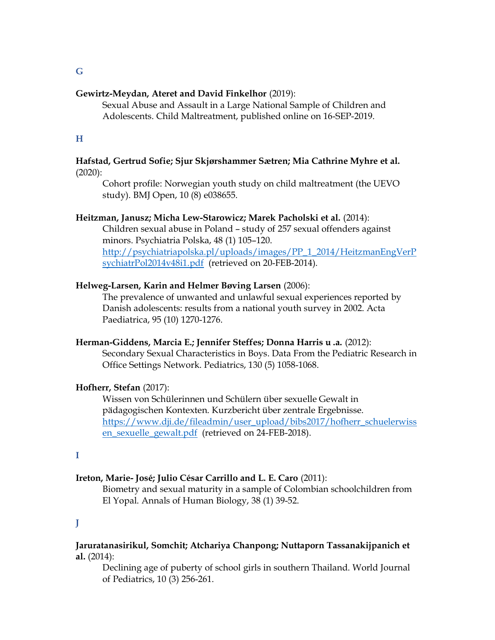# Gewirtz-Meydan, Ateret and David Finkelhor (2019):

Sexual Abuse and Assault in a Large National Sample of Children and Adolescents. Child Maltreatment, published online on 16-SEP-2019.

# H

### Hafstad, Gertrud Sofie; Sjur Skjørshammer Sætren; Mia Cathrine Myhre et al. (2020):

Cohort profile: Norwegian youth study on child maltreatment (the UEVO study). BMJ Open, 10 (8) e038655.

### Heitzman, Janusz; Micha Lew-Starowicz; Marek Pacholski et al. (2014):

Children sexual abuse in Poland – study of 257 sexual offenders against minors. Psychiatria Polska, 48 (1) 105–120.

http://psychiatriapolska.pl/uploads/images/PP\_1\_2014/HeitzmanEngVerP sychiatrPol2014v48i1.pdf (retrieved on 20-FEB-2014).

### Helweg-Larsen, Karin and Helmer Bøving Larsen (2006):

The prevalence of unwanted and unlawful sexual experiences reported by Danish adolescents: results from a national youth survey in 2002. Acta Paediatrica, 95 (10) 1270-1276.

Herman-Giddens, Marcia E.; Jennifer Steffes; Donna Harris u .a. (2012):

Secondary Sexual Characteristics in Boys. Data From the Pediatric Research in Office Settings Network. Pediatrics, 130 (5) 1058-1068.

### Hofherr, Stefan (2017):

Wissen von Schülerinnen und Schülern über sexuelle Gewalt in pädagogischen Kontexten. Kurzbericht über zentrale Ergebnisse. https://www.dji.de/fileadmin/user\_upload/bibs2017/hofherr\_schuelerwiss en\_sexuelle\_gewalt.pdf (retrieved on 24-FEB-2018).

# I and the set of the set of the set of the set of the set of the set of the set of the set of the set of the set of the set of the set of the set of the set of the set of the set of the set of the set of the set of the set

# Ireton, Marie- José; Julio César Carrillo and L. E. Caro (2011):

Biometry and sexual maturity in a sample of Colombian schoolchildren from El Yopal. Annals of Human Biology, 38 (1) 39-52.

### J

# Jaruratanasirikul, Somchit; Atchariya Chanpong; Nuttaporn Tassanakijpanich et al. (2014):

Declining age of puberty of school girls in southern Thailand. World Journal of Pediatrics, 10 (3) 256-261.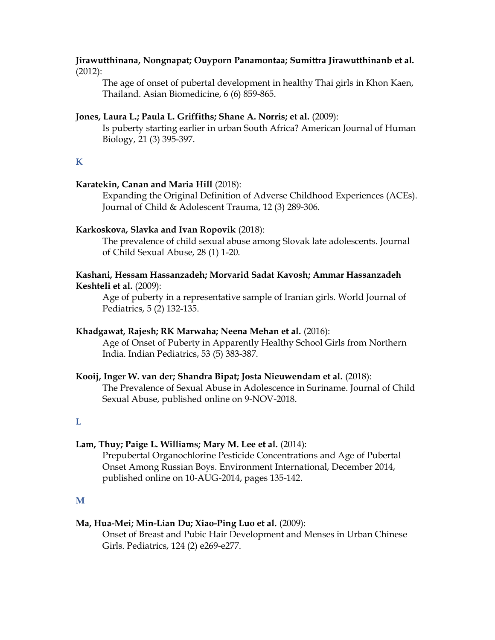### Jirawutthinana, Nongnapat; Ouyporn Panamontaa; Sumittra Jirawutthinanb et al. (2012):

The age of onset of pubertal development in healthy Thai girls in Khon Kaen, Thailand. Asian Biomedicine, 6 (6) 859-865.

### Jones, Laura L.; Paula L. Griffiths; Shane A. Norris; et al. (2009):

Is puberty starting earlier in urban South Africa? American Journal of Human Biology, 21 (3) 395-397.

# K

### Karatekin, Canan and Maria Hill (2018):

Expanding the Original Definition of Adverse Childhood Experiences (ACEs). Journal of Child & Adolescent Trauma, 12 (3) 289-306.

### Karkoskova, Slavka and Ivan Ropovik (2018):

The prevalence of child sexual abuse among Slovak late adolescents. Journal of Child Sexual Abuse, 28 (1) 1-20.

## Kashani, Hessam Hassanzadeh; Morvarid Sadat Kavosh; Ammar Hassanzadeh Keshteli et al. (2009):

Age of puberty in a representative sample of Iranian girls. World Journal of Pediatrics, 5 (2) 132-135.

### Khadgawat, Rajesh; RK Marwaha; Neena Mehan et al. (2016):

Age of Onset of Puberty in Apparently Healthy School Girls from Northern India. Indian Pediatrics, 53 (5) 383-387.

### Kooij, Inger W. van der; Shandra Bipat; Josta Nieuwendam et al. (2018):

The Prevalence of Sexual Abuse in Adolescence in Suriname. Journal of Child Sexual Abuse, published online on 9-NOV-2018.

### $\mathbf{L}$  and  $\mathbf{L}$  and  $\mathbf{L}$

### Lam, Thuy; Paige L. Williams; Mary M. Lee et al. (2014):

Prepubertal Organochlorine Pesticide Concentrations and Age of Pubertal Onset Among Russian Boys. Environment International, December 2014, published online on 10-AUG-2014, pages 135-142.

### M

# Ma, Hua-Mei; Min-Lian Du; Xiao-Ping Luo et al. (2009):

Onset of Breast and Pubic Hair Development and Menses in Urban Chinese Girls. Pediatrics, 124 (2) e269-e277.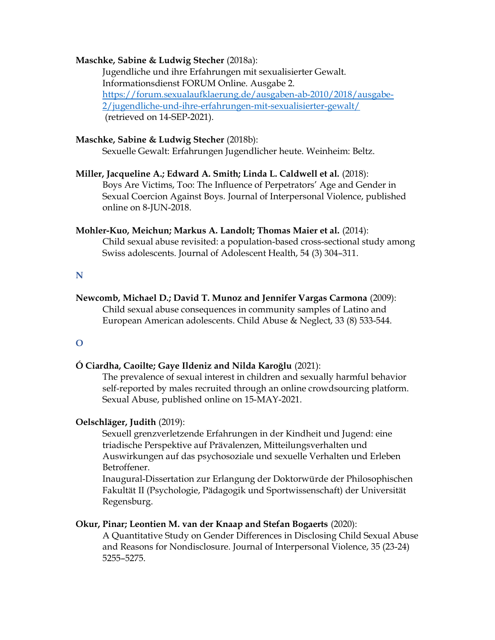#### Maschke, Sabine & Ludwig Stecher (2018a):

Jugendliche und ihre Erfahrungen mit sexualisierter Gewalt. Informationsdienst FORUM Online. Ausgabe 2. https://forum.sexualaufklaerung.de/ausgaben-ab-2010/2018/ausgabe-2/jugendliche-und-ihre-erfahrungen-mit-sexualisierter-gewalt/ (retrieved on 14-SEP-2021).

### Maschke, Sabine & Ludwig Stecher (2018b):

Sexuelle Gewalt: Erfahrungen Jugendlicher heute. Weinheim: Beltz.

#### Miller, Jacqueline A.; Edward A. Smith; Linda L. Caldwell et al. (2018):

Boys Are Victims, Too: The Influence of Perpetrators' Age and Gender in Sexual Coercion Against Boys. Journal of Interpersonal Violence, published online on 8-JUN-2018.

#### Mohler-Kuo, Meichun; Markus A. Landolt; Thomas Maier et al. (2014):

Child sexual abuse revisited: a population-based cross-sectional study among Swiss adolescents. Journal of Adolescent Health, 54 (3) 304–311.

#### N<sub>N</sub>N<sub>N</sub>

Newcomb, Michael D.; David T. Munoz and Jennifer Vargas Carmona (2009): Child sexual abuse consequences in community samples of Latino and European American adolescents. Child Abuse & Neglect, 33 (8) 533-544.

### O

### Ó Ciardha, Caoilte; Gaye Ildeniz and Nilda Karoğlu (2021):

The prevalence of sexual interest in children and sexually harmful behavior self-reported by males recruited through an online crowdsourcing platform. Sexual Abuse, published online on 15-MAY-2021.

#### Oelschläger, Judith (2019):

Sexuell grenzverletzende Erfahrungen in der Kindheit und Jugend: eine triadische Perspektive auf Prävalenzen, Mitteilungsverhalten und Auswirkungen auf das psychosoziale und sexuelle Verhalten und Erleben Betroffener.

Inaugural-Dissertation zur Erlangung der Doktorwürde der Philosophischen Fakultät II (Psychologie, Pädagogik und Sportwissenschaft) der Universität Regensburg.

### Okur, Pinar; Leontien M. van der Knaap and Stefan Bogaerts (2020):

A Quantitative Study on Gender Differences in Disclosing Child Sexual Abuse and Reasons for Nondisclosure. Journal of Interpersonal Violence, 35 (23-24) 5255–5275.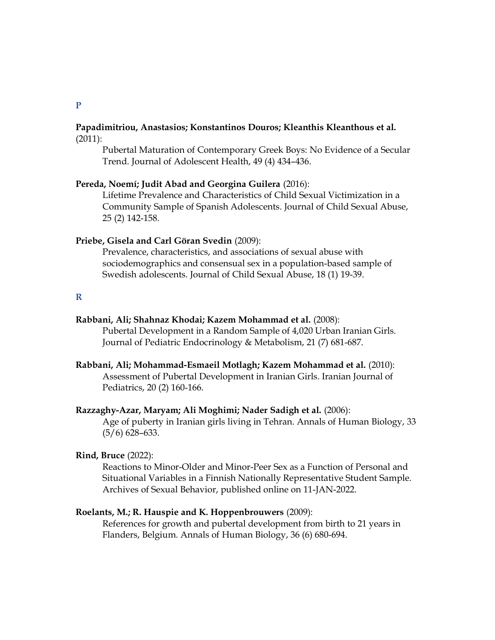#### Papadimitriou, Anastasios; Konstantinos Douros; Kleanthis Kleanthous et al. (2011):

Pubertal Maturation of Contemporary Greek Boys: No Evidence of a Secular Trend. Journal of Adolescent Health, 49 (4) 434–436.

## Pereda, Noemí; Judit Abad and Georgina Guilera (2016):

Lifetime Prevalence and Characteristics of Child Sexual Victimization in a Community Sample of Spanish Adolescents. Journal of Child Sexual Abuse, 25 (2) 142-158.

# Priebe, Gisela and Carl Göran Svedin (2009):

Prevalence, characteristics, and associations of sexual abuse with sociodemographics and consensual sex in a population-based sample of Swedish adolescents. Journal of Child Sexual Abuse, 18 (1) 19-39.

### R<sub>a</sub> and the set of the set of the set of the set of the set of the set of the set of the set of the set of the set of the set of the set of the set of the set of the set of the set of the set of the set of the set of the

### Rabbani, Ali; Shahnaz Khodai; Kazem Mohammad et al. (2008):

Pubertal Development in a Random Sample of 4,020 Urban Iranian Girls. Journal of Pediatric Endocrinology & Metabolism, 21 (7) 681-687.

# Rabbani, Ali; Mohammad-Esmaeil Motlagh; Kazem Mohammad et al. (2010): Assessment of Pubertal Development in Iranian Girls. Iranian Journal of Pediatrics, 20 (2) 160-166.

### Razzaghy-Azar, Maryam; Ali Moghimi; Nader Sadigh et al. (2006):

Age of puberty in Iranian girls living in Tehran. Annals of Human Biology, 33 (5/6) 628–633.

### Rind, Bruce (2022):

Reactions to Minor-Older and Minor-Peer Sex as a Function of Personal and Situational Variables in a Finnish Nationally Representative Student Sample. Archives of Sexual Behavior, published online on 11-JAN-2022.

### Roelants, M.; R. Hauspie and K. Hoppenbrouwers (2009):

References for growth and pubertal development from birth to 21 years in Flanders, Belgium. Annals of Human Biology, 36 (6) 680-694.

#### P<sub>2</sub>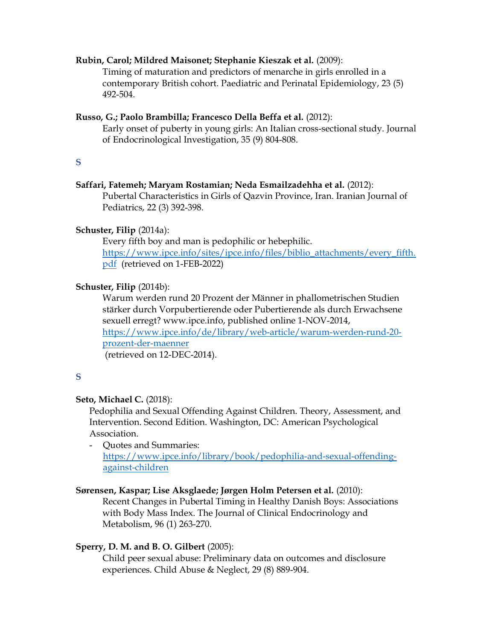### Rubin, Carol; Mildred Maisonet; Stephanie Kieszak et al. (2009):

Timing of maturation and predictors of menarche in girls enrolled in a contemporary British cohort. Paediatric and Perinatal Epidemiology, 23 (5) 492-504.

### Russo, G.; Paolo Brambilla; Francesco Della Beffa et al. (2012):

Early onset of puberty in young girls: An Italian cross-sectional study. Journal of Endocrinological Investigation, 35 (9) 804-808.

# S<sub>s</sub> and the set of  $\mathbf{S}$

### Saffari, Fatemeh; Maryam Rostamian; Neda Esmailzadehha et al. (2012):

Pubertal Characteristics in Girls of Qazvin Province, Iran. Iranian Journal of Pediatrics, 22 (3) 392-398.

### Schuster, Filip (2014a):

Every fifth boy and man is pedophilic or hebephilic. https://www.ipce.info/sites/ipce.info/files/biblio\_attachments/every\_fifth. pdf (retrieved on 1-FEB-2022)

### Schuster, Filip (2014b):

Warum werden rund 20 Prozent der Männer in phallometrischen Studien stärker durch Vorpubertierende oder Pubertierende als durch Erwachsene sexuell erregt? www.ipce.info, published online 1-NOV-2014, https://www.ipce.info/de/library/web-article/warum-werden-rund-20 prozent-der-maenner (retrieved on 12-DEC-2014).

### S<sub>s</sub> and the set of  $\mathbf{S}$

### Seto, Michael C. (2018):

Pedophilia and Sexual Offending Against Children. Theory, Assessment, and Intervention. Second Edition. Washington, DC: American Psychological Association.

- Quotes and Summaries: https://www.ipce.info/library/book/pedophilia-and-sexual-offendingagainst-children

### Sørensen, Kaspar; Lise Aksglaede; Jørgen Holm Petersen et al. (2010):

Recent Changes in Pubertal Timing in Healthy Danish Boys: Associations with Body Mass Index. The Journal of Clinical Endocrinology and Metabolism, 96 (1) 263-270.

### Sperry, D. M. and B. O. Gilbert (2005):

Child peer sexual abuse: Preliminary data on outcomes and disclosure experiences. Child Abuse & Neglect, 29 (8) 889-904.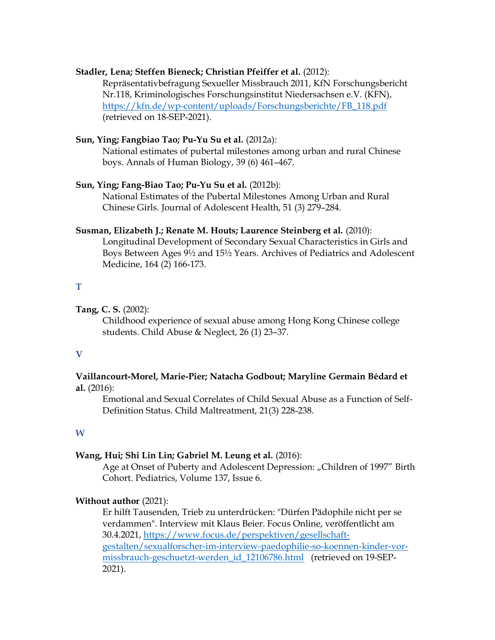### Stadler, Lena; Steffen Bieneck; Christian Pfeiffer et al. (2012):

Repräsentativbefragung Sexueller Missbrauch 2011, KfN Forschungsbericht Nr.118, Kriminologisches Forschungsinstitut Niedersachsen e.V. (KFN), https://kfn.de/wp-content/uploads/Forschungsberichte/FB\_118.pdf (retrieved on 18-SEP-2021).

### Sun, Ying; Fangbiao Tao; Pu-Yu Su et al. (2012a):

National estimates of pubertal milestones among urban and rural Chinese boys. Annals of Human Biology, 39 (6) 461–467.

### Sun, Ying; Fang-Biao Tao; Pu-Yu Su et al. (2012b):

National Estimates of the Pubertal Milestones Among Urban and Rural Chinese Girls. Journal of Adolescent Health, 51 (3) 279–284.

#### Susman, Elizabeth J.; Renate M. Houts; Laurence Steinberg et al. (2010):

Longitudinal Development of Secondary Sexual Characteristics in Girls and Boys Between Ages 9½ and 15½ Years. Archives of Pediatrics and Adolescent Medicine, 164 (2) 166-173.

### T<sub>a</sub> a shekarar 1995

#### Tang, C. S. (2002):

Childhood experience of sexual abuse among Hong Kong Chinese college students. Child Abuse & Neglect, 26 (1) 23–37.

### V

### Vaillancourt-Morel, Marie-Pier; Natacha Godbout; Maryline Germain Bédard et al. (2016):

Emotional and Sexual Correlates of Child Sexual Abuse as a Function of Self-Definition Status. Child Maltreatment, 21(3) 228-238.

### W

### Wang, Hui; Shi Lin Lin; Gabriel M. Leung et al. (2016):

Age at Onset of Puberty and Adolescent Depression: "Children of 1997" Birth Cohort. Pediatrics, Volume 137, Issue 6.

### Without author (2021):

Er hilft Tausenden, Trieb zu unterdrücken: "Dürfen Pädophile nicht per se verdammen". Interview mit Klaus Beier. Focus Online, veröffentlicht am 30.4.2021, https://www.focus.de/perspektiven/gesellschaftgestalten/sexualforscher-im-interview-paedophilie-so-koennen-kinder-vormissbrauch-geschuetzt-werden\_id\_12106786.html (retrieved on 19-SEP-2021).